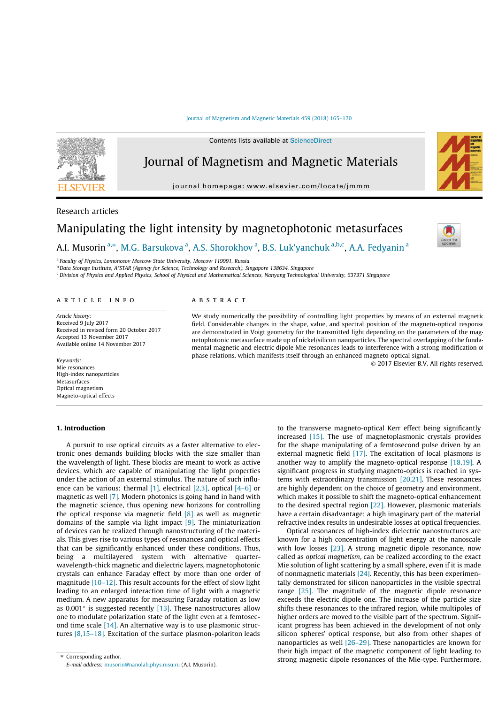#### Journal of Magnetism and Magnetic Materials 459 (2018) 165–170

<span id="page-0-0"></span>

Contents lists available at ScienceDirect

# Journal of Magnetism and Magnetic Materials

journal homepage: www.elsevier.com/locate/jmmm

# Research articles

# Manipulating the light intensity by magnetophotonic metasurfaces



A.I. Musorin<sup>a,\*</sup>, M.G. [Barsukova](#page-0-0) <sup>[a](#page-0-0)</sup>, A.S. [Shorokhov](#page-0-0) <sup>a</sup>, B.S. [Luk'yanchuk](#page-0-0) <sup>[a,b,c](#page-0-0)</sup>, A.A. [Fedyanin](#page-0-0) <sup>a</sup>

<sup>a</sup> Faculty of Physics, Lomonosov Moscow State University, Moscow 119991, Russia

**b** Data Storage Institute, A\*STAR (Agency for Science, Technology and Research), Singapore 138634, Singapore

<sup>c</sup> Division of Physics and Applied Physics, School of Physical and Mathematical Sciences, Nanyang Technological University, 637371 Singapore

# article info

Article history: Received 9 July 2017 Received in revised form 20 October 2017 Accepted 13 November 2017 Available online 14 November 2017

Keywords: Mie resonances High-index nanoparticles Metasurfaces Optical magnetism Magneto-optical effects

# 1. Introduction

# A pursuit to use optical circuits as a faster alternative to electronic ones demands building blocks with the size smaller than the wavelength of light. These blocks are meant to work as active devices, which are capable of manipulating the light properties under the action of an external stimulus. The nature of such influence can be various: thermal [\[1\]](#page-5-0), electrical [\[2,3](#page-5-0)], optical [[4–6](#page-5-0)] or magnetic as well [\[7\]](#page-5-0). Modern photonics is going hand in hand with the magnetic science, thus opening new horizons for controlling the optical response via magnetic field [\[8\]](#page-5-0) as well as magnetic domains of the sample via light impact [\[9\].](#page-5-0) The miniaturization of devices can be realized through nanostructuring of the materials. This gives rise to various types of resonances and optical effects that can be significantly enhanced under these conditions. Thus, being a multilayered system with alternative quarterwavelength-thick magnetic and dielectric layers, magnetophotonic crystals can enhance Faraday effect by more than one order of magnitude [\[10–12](#page-5-0)]. This result accounts for the effect of slow light leading to an enlarged interaction time of light with a magnetic medium. A new apparatus for measuring Faraday rotation as low as 0.001° is suggested recently [\[13\].](#page-5-0) These nanostructures allow one to modulate polarization state of the light even at a femtosecond time scale [\[14\]](#page-5-0). An alternative way is to use plasmonic structures [[8,15–18\]](#page-5-0). Excitation of the surface plasmon-polariton leads

E-mail address: musorin@nanolab.phys.msu.ru (A.I. Musorin).

#### ABSTRACT

We study numerically the possibility of controlling light properties by means of an external magnetic field. Considerable changes in the shape, value, and spectral position of the magneto-optical response are demonstrated in Voigt geometry for the transmitted light depending on the parameters of the magnetophotonic metasurface made up of nickel/silicon nanoparticles. The spectral overlapping of the fundamental magnetic and electric dipole Mie resonances leads to interference with a strong modification of phase relations, which manifests itself through an enhanced magneto-optical signal.

 $\odot$  2017 Elsevier B.V. All rights reserved.

to the transverse magneto-optical Kerr effect being significantly increased [\[15\].](#page-5-0) The use of magnetoplasmonic crystals provides for the shape manipulating of a femtosecond pulse driven by an external magnetic field [\[17\]](#page-5-0). The excitation of local plasmons is another way to amplify the magneto-optical response [[18,19\]](#page-5-0). A significant progress in studying magneto-optics is reached in systems with extraordinary transmission [\[20,21\]](#page-5-0). These resonances are highly dependent on the choice of geometry and environment, which makes it possible to shift the magneto-optical enhancement to the desired spectral region [\[22\]](#page-5-0). However, plasmonic materials have a certain disadvantage: a high imaginary part of the material refractive index results in undesirable losses at optical frequencies.

Optical resonances of high-index dielectric nanostructures are known for a high concentration of light energy at the nanoscale with low losses [\[23\]](#page-5-0). A strong magnetic dipole resonance, now called as optical magnetism, can be realized according to the exact Mie solution of light scattering by a small sphere, even if it is made of nonmagnetic materials [\[24\]](#page-5-0). Recently, this has been experimentally demonstrated for silicon nanoparticles in the visible spectral range [\[25\]](#page-5-0). The magnitude of the magnetic dipole resonance exceeds the electric dipole one. The increase of the particle size shifts these resonances to the infrared region, while multipoles of higher orders are moved to the visible part of the spectrum. Significant progress has been achieved in the development of not only silicon spheres' optical response, but also from other shapes of nanoparticles as well [[26–29\]](#page-5-0). These nanoparticles are known for their high impact of the magnetic component of light leading to strong magnetic dipole resonances of the Mie-type. Furthermore, and the Mic-type. Furthermore,  $\frac{1}{2}$  Corresponding author.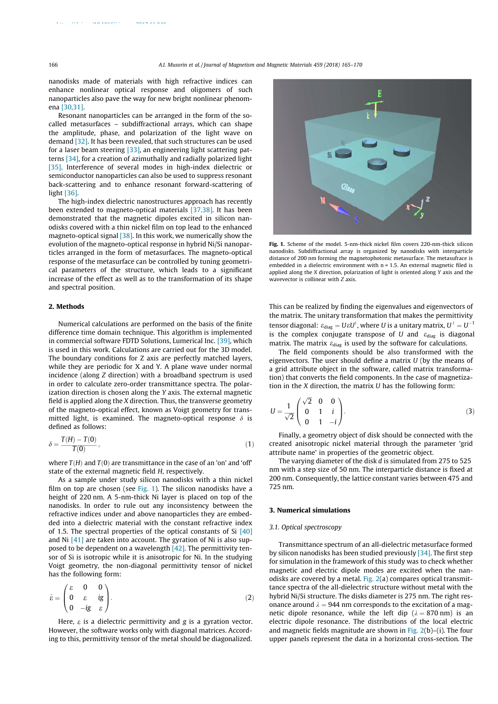<span id="page-1-0"></span>nanodisks made of materials with high refractive indices can enhance nonlinear optical response and oligomers of such nanoparticles also pave the way for new bright nonlinear phenomena [\[30,31\]](#page-5-0).

Resonant nanoparticles can be arranged in the form of the socalled metasurfaces – subdiffractional arrays, which can shape the amplitude, phase, and polarization of the light wave on demand [\[32\].](#page-5-0) It has been revealed, that such structures can be used for a laser beam steering [\[33\]](#page-5-0), an engineering light scattering patterns [\[34\],](#page-5-0) for a creation of azimuthally and radially polarized light [\[35\]](#page-5-0). Interference of several modes in high-index dielectric or semiconductor nanoparticles can also be used to suppress resonant back-scattering and to enhance resonant forward-scattering of light [\[36\]](#page-5-0).

The high-index dielectric nanostructures approach has recently been extended to magneto-optical materials [[37](#page-5-0),[38](#page-5-0)]. It has been demonstrated that the magnetic dipoles excited in silicon nanodisks covered with a thin nickel film on top lead to the enhanced magneto-optical signal [\[38\]](#page-5-0). In this work, we numerically show the evolution of the magneto-optical response in hybrid Ni/Si nanoparticles arranged in the form of metasurfaces. The magneto-optical response of the metasurface can be controlled by tuning geometrical parameters of the structure, which leads to a significant increase of the effect as well as to the transformation of its shape and spectral position.

#### 2. Methods

Numerical calculations are performed on the basis of the finite difference time domain technique. This algorithm is implemented in commercial software FDTD Solutions, Lumerical Inc. [\[39\],](#page-5-0) which is used in this work. Calculations are carried out for the 3D model. The boundary conditions for Z axis are perfectly matched layers, while they are periodic for X and Y. A plane wave under normal incidence (along Z direction) with a broadband spectrum is used in order to calculate zero-order transmittance spectra. The polarization direction is chosen along the Y axis. The external magnetic field is applied along the X direction. Thus, the transverse geometry of the magneto-optical effect, known as Voigt geometry for transmitted light, is examined. The magneto-optical response  $\delta$  is defined as follows:

$$
\delta = \frac{T(H) - T(0)}{T(0)},\tag{1}
$$

where  $T(H)$  and  $T(0)$  are transmittance in the case of an 'on' and 'off' state of the external magnetic field H, respectively.

As a sample under study silicon nanodisks with a thin nickel film on top are chosen (see [Fig.](#page-1-0) 1). The silicon nanodisks have a height of 220 nm. A 5-nm-thick Ni layer is placed on top of the nanodisks. In order to rule out any inconsistency between the refractive indices under and above nanoparticles they are embedded into a dielectric material with the constant refractive index of 1.5. The spectral properties of the optical constants of Si [\[40\]](#page-5-0) and Ni [\[41\]](#page-5-0) are taken into account. The gyration of Ni is also supposed to be dependent on a wavelength [\[42\].](#page-5-0) The permittivity tensor of Si is isotropic while it is anisotropic for Ni. In the studying Voigt geometry, the non-diagonal permittivity tensor of nickel has the following form:

$$
\hat{\varepsilon} = \begin{pmatrix} \varepsilon & 0 & 0 \\ 0 & \varepsilon & ig \\ 0 & -ig & \varepsilon \end{pmatrix} . \tag{2}
$$

Here,  $\varepsilon$  is a dielectric permittivity and g is a gyration vector. However, the software works only with diagonal matrices. According to this, permittivity tensor of the metal should be diagonalized.



Fig. 1. Scheme of the model. 5-nm-thick nickel film covers 220-nm-thick silicon nanodisks. Subdiffractional array is organized by nanodisks with interparticle distance of 200 nm forming the magnetophotonic metasurface. The metasufrace is embedded in a dielectric environment with n = 1.5. An external magnetic filed is applied along the X direction, polarization of light is oriented along Y axis and the wavevector is collinear with Z axis.

This can be realized by finding the eigenvalues and eigenvectors of the matrix. The unitary transformation that makes the permittivity tensor diagonal:  $\varepsilon_{\rm diag}=U \varepsilon U^{\dagger}$ , where  $U$  is a unitary matrix,  $U^{\dagger}=U^{-1}$ is the complex conjugate transpose of  $U$  and  $\varepsilon_{\text{diag}}$  is diagonal matrix. The matrix  $\varepsilon_{\text{diag}}$  is used by the software for calculations.

The field components should be also transformed with the eigenvectors. The user should define a matrix  $U$  (by the means of a grid attribute object in the software, called matrix transformation) that converts the field components. In the case of magnetization in the X direction, the matrix U has the following form:

$$
U = \frac{1}{\sqrt{2}} \begin{pmatrix} \sqrt{2} & 0 & 0 \\ 0 & 1 & i \\ 0 & 1 & -i \end{pmatrix}.
$$
 (3)

Finally, a geometry object of disk should be connected with the created anisotropic nickel material through the parameter 'grid attribute name' in properties of the geometric object.

The varying diameter of the disk d is simulated from 275 to 525 nm with a step size of 50 nm. The interparticle distance is fixed at 200 nm. Consequently, the lattice constant varies between 475 and 725 nm.

#### 3. Numerical simulations

#### 3.1. Optical spectroscopy

Transmittance spectrum of an all-dielectric metasurface formed by silicon nanodisks has been studied previously [\[34\].](#page-5-0) The first step for simulation in the framework of this study was to check whether magnetic and electric dipole modes are excited when the nanodisks are covered by a metal. [Fig.](#page-2-0) 2(a) compares optical transmittance spectra of the all-dielectric structure without metal with the hybrid Ni/Si structure. The disks diameter is 275 nm. The right resonance around  $\lambda = 944$  nm corresponds to the excitation of a magnetic dipole resonance, while the left dip ( $\lambda = 870$  nm) is an electric dipole resonance. The distributions of the local electric and magnetic fields magnitude are shown in [Fig.](#page-2-0) 2(b)–(i). The four upper panels represent the data in a horizontal cross-section. The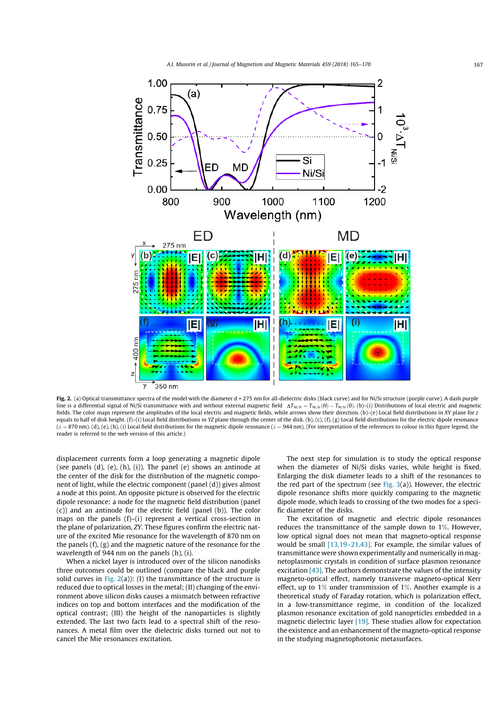<span id="page-2-0"></span>

Fig. 2. (a) Optical transmittance spectra of the model with the diameter d = 275 nm for all-dielectric disks (black curve) and for Ni/Si structure (purple curve). A dash purple line is a differential signal of Ni/Si transmittance with and without external magnetic field  $\Delta T_{Ni/Si} = T_{Ni/Si} (H) - T_{Ni/Si} (0)$ . (b)–(i) Distributions of local electric and magnetic fields. The color maps represent the amplitudes of the local electric and magnetic fields, while arrows show their direction. (b)–(e) Local field distributions in XY plane for z equals to half of disk height. (f)–(i) Local field distributions in YZ plane through the center of the disk. (b), (c), (f), (g) Local field distributions for the electric dipole resonance  $(\lambda = 870 \text{ nm})$ . (d), (e), (h), (i) Local field distributions for the magnetic dipole resonance ( $\lambda = 944 \text{ nm}$ ). (For interpretation of the references to colour in this figure legend, the reader is referred to the web version of this article.)

displacement currents form a loop generating a magnetic dipole (see panels (d), (e), (h), (i)). The panel (e) shows an antinode at the center of the disk for the distribution of the magnetic component of light, while the electric component (panel (d)) gives almost a node at this point. An opposite picture is observed for the electric dipole resonance: a node for the magnetic field distribution (panel (c)) and an antinode for the electric field (panel (b)). The color maps on the panels (f)–(i) represent a vertical cross-section in the plane of polarization, ZY. These figures confirm the electric nature of the excited Mie resonance for the wavelength of 870 nm on the panels (f), (g) and the magnetic nature of the resonance for the wavelength of 944 nm on the panels (h), (i).

When a nickel layer is introduced over of the silicon nanodisks three outcomes could be outlined (compare the black and purple solid curves in [Fig.](#page-2-0)  $2(a)$ ): (I) the transmittance of the structure is reduced due to optical losses in the metal; (II) changing of the environment above silicon disks causes a mismatch between refractive indices on top and bottom interfaces and the modification of the optical contrast; (III) the height of the nanoparticles is slightly extended. The last two facts lead to a spectral shift of the resonances. A metal film over the dielectric disks turned out not to cancel the Mie resonances excitation.

The next step for simulation is to study the optical response when the diameter of Ni/Si disks varies, while height is fixed. Enlarging the disk diameter leads to a shift of the resonances to the red part of the spectrum (see [Fig.](#page-3-0)  $3(a)$ ). However, the electric dipole resonance shifts more quickly comparing to the magnetic dipole mode, which leads to crossing of the two modes for a specific diameter of the disks.

The excitation of magnetic and electric dipole resonances reduces the transmittance of the sample down to 1%. However, low optical signal does not mean that magneto-optical response would be small [[13,19–21,43\]](#page-5-0). For example, the similar values of transmittance were shown experimentally and numerically in magnetoplasmonic crystals in condition of surface plasmon resonance excitation [\[43\].](#page-5-0) The authors demonstrate the values of the intensity magneto-optical effect, namely transverse magneto-optical Kerr effect, up to 1% under transmission of 1%. Another example is a theoretical study of Faraday rotation, which is polarization effect, in a low-transmittance regime, in condition of the localized plasmon resonance excitation of gold nanoprticles embedded in a magnetic dielectric layer [\[19\].](#page-5-0) These studies allow for expectation the existence and an enhancement of the magneto-optical response in the studying magnetophotonic metasurfaces.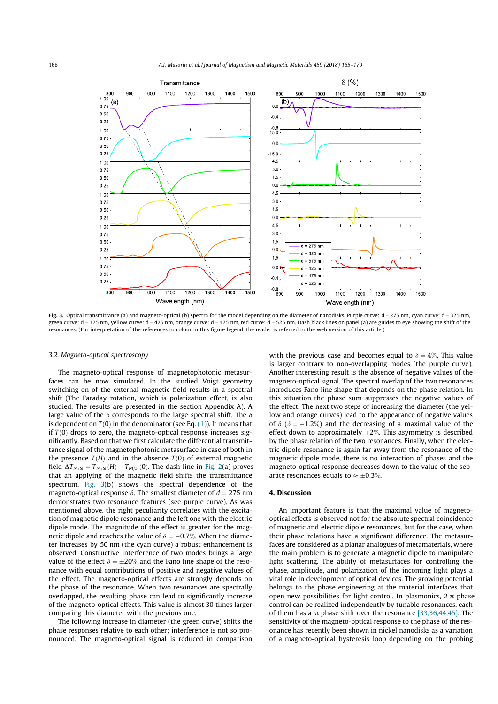<span id="page-3-0"></span>

Fig. 3. Optical transmittance (a) and magneto-optical (b) spectra for the model depending on the diameter of nanodisks. Purple curve: d = 275 nm, cyan curve: d = 325 nm, green curve: d = 375 nm, yellow curve: d = 425 nm, orange curve: d = 475 nm, red curve: d = 525 nm. Dash black lines on panel (a) are guides to eye showing the shift of the resonances. (For interpretation of the references to colour in this figure legend, the reader is referred to the web version of this article.)

#### 3.2. Magneto-optical spectroscopy

The magneto-optical response of magnetophotonic metasurfaces can be now simulated. In the studied Voigt geometry switching-on of the external magnetic field results in a spectral shift (The Faraday rotation, which is polarization effect, is also studied. The results are presented in the section Appendix A). A large value of the  $\delta$  corresponds to the large spectral shift. The  $\delta$ is dependent on  $T(0)$  in the denominator (see Eq. [\(1\)\)](#page-1-0). It means that if  $T(0)$  drops to zero, the magneto-optical response increases significantly. Based on that we first calculate the differential transmittance signal of the magnetophotonic metasurface in case of both in the presence  $T(H)$  and in the absence  $T(0)$  of external magnetic field  $\Delta T_{Ni/Si} = T_{Ni/Si} (H) - T_{Ni/Si} (0)$ . The dash line in [Fig.](#page-2-0) 2(a) proves that an applying of the magnetic field shifts the transmittance spectrum. [Fig.](#page-3-0) 3(b) shows the spectral dependence of the magneto-optical response  $\delta$ . The smallest diameter of  $d = 275$  nm demonstrates two resonance features (see purple curve). As was mentioned above, the right peculiarity correlates with the excitation of magnetic dipole resonance and the left one with the electric dipole mode. The magnitude of the effect is greater for the magnetic dipole and reaches the value of  $\delta = -0.7\%$ . When the diameter increases by 50 nm (the cyan curve) a robust enhancement is observed. Constructive interference of two modes brings a large value of the effect  $\delta = \pm 20\%$  and the Fano line shape of the resonance with equal contributions of positive and negative values of the effect. The magneto-optical effects are strongly depends on the phase of the resonance. When two resonances are spectrally overlapped, the resulting phase can lead to significantly increase of the magneto-optical effects. This value is almost 30 times larger comparing this diameter with the previous one.

The following increase in diameter (the green curve) shifts the phase responses relative to each other; interference is not so pronounced. The magneto-optical signal is reduced in comparison

with the previous case and becomes equal to  $\delta = 4\%$ . This value is larger contrary to non-overlapping modes (the purple curve). Another interesting result is the absence of negative values of the magneto-optical signal. The spectral overlap of the two resonances introduces Fano line shape that depends on the phase relation. In this situation the phase sum suppresses the negative values of the effect. The next two steps of increasing the diameter (the yellow and orange curves) lead to the appearance of negative values of  $\delta$  ( $\delta$  = -1.2%) and the decreasing of a maximal value of the effect down to approximately  $+2\%$ . This asymmetry is described by the phase relation of the two resonances. Finally, when the electric dipole resonance is again far away from the resonance of the magnetic dipole mode, there is no interaction of phases and the magneto-optical response decreases down to the value of the separate resonances equals to  $\approx \pm 0.3\%$ .

#### 4. Discussion

An important feature is that the maximal value of magnetooptical effects is observed not for the absolute spectral coincidence of magnetic and electric dipole resonances, but for the case, when their phase relations have a significant difference. The metasurfaces are considered as a planar analogues of metamaterials, where the main problem is to generate a magnetic dipole to manipulate light scattering. The ability of metasurfaces for controlling the phase, amplitude, and polarization of the incoming light plays a vital role in development of optical devices. The growing potential belongs to the phase engineering at the material interfaces that open new possibilities for light control. In plasmonics,  $2 \pi$  phase control can be realized independently by tunable resonances, each of them has a  $\pi$  phase shift over the resonance [\[33,36,44,45\]](#page-5-0). The sensitivity of the magneto-optical response to the phase of the resonance has recently been shown in nickel nanodisks as a variation of a magneto-optical hysteresis loop depending on the probing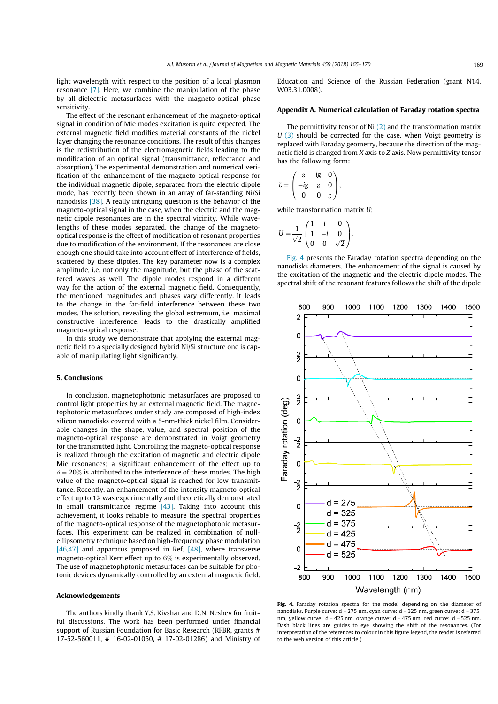light wavelength with respect to the position of a local plasmon resonance [\[7\]](#page-5-0). Here, we combine the manipulation of the phase by all-dielectric metasurfaces with the magneto-optical phase sensitivity.

The effect of the resonant enhancement of the magneto-optical signal in condition of Mie modes excitation is quite expected. The external magnetic field modifies material constants of the nickel layer changing the resonance conditions. The result of this changes is the redistribution of the electromagnetic fields leading to the modification of an optical signal (transmittance, reflectance and absorption). The experimental demonstration and numerical verification of the enhancement of the magneto-optical response for the individual magnetic dipole, separated from the electric dipole mode, has recently been shown in an array of far-standing Ni/Si nanodisks [\[38\]](#page-5-0). A really intriguing question is the behavior of the magneto-optical signal in the case, when the electric and the magnetic dipole resonances are in the spectral vicinity. While wavelengths of these modes separated, the change of the magnetooptical response is the effect of modification of resonant properties due to modification of the environment. If the resonances are close enough one should take into account effect of interference of fields, scattered by these dipoles. The key parameter now is a complex amplitude, i.e. not only the magnitude, but the phase of the scattered waves as well. The dipole modes respond in a different way for the action of the external magnetic field. Consequently, the mentioned magnitudes and phases vary differently. It leads to the change in the far-field interference between these two modes. The solution, revealing the global extremum, i.e. maximal constructive interference, leads to the drastically amplified magneto-optical response.

In this study we demonstrate that applying the external magnetic field to a specially designed hybrid Ni/Si structure one is capable of manipulating light significantly.

## 5. Conclusions

In conclusion, magnetophotonic metasurfaces are proposed to control light properties by an external magnetic field. The magnetophotonic metasurfaces under study are composed of high-index silicon nanodisks covered with a 5-nm-thick nickel film. Considerable changes in the shape, value, and spectral position of the magneto-optical response are demonstrated in Voigt geometry for the transmitted light. Controlling the magneto-optical response is realized through the excitation of magnetic and electric dipole Mie resonances; a significant enhancement of the effect up to  $\delta = 20\%$  is attributed to the interference of these modes. The high value of the magneto-optical signal is reached for low transmittance. Recently, an enhancement of the intensity magneto-optical effect up to 1% was experimentally and theoretically demonstrated in small transmittance regime [\[43\]](#page-5-0). Taking into account this achievement, it looks reliable to measure the spectral properties of the magneto-optical response of the magnetophotonic metasurfaces. This experiment can be realized in combination of nullellipsometry technique based on high-frequency phase modulation [[46,47\]](#page-5-0) and apparatus proposed in Ref. [\[48\],](#page-5-0) where transverse magneto-optical Kerr effect up to 6% is experimentally observed. The use of magnetophptonic metasurfaces can be suitable for photonic devices dynamically controlled by an external magnetic field.

# Acknowledgements

The authors kindly thank Y.S. Kivshar and D.N. Neshev for fruitful discussions. The work has been performed under financial support of Russian Foundation for Basic Research (RFBR, grants # 17-52-560011, # 16-02-01050, # 17-02-01286) and Ministry of Education and Science of the Russian Federation (grant N14. W03.31.0008).

# Appendix A. Numerical calculation of Faraday rotation spectra

The permittivity tensor of Ni (2) and the transformation matrix  $U(3)$  should be corrected for the case, when Voigt geometry is replaced with Faraday geometry, because the direction of the magnetic field is changed from X axis to Z axis. Now permittivity tensor has the following form:

$$
\hat{\epsilon} = \begin{pmatrix} \epsilon & ig & 0 \\ -ig & \epsilon & 0 \\ 0 & 0 & \epsilon \end{pmatrix},
$$

while transformation matrix U:

$$
U=\frac{1}{\sqrt{2}}\begin{pmatrix} 1 & i & 0 \\ 1 & -i & 0 \\ 0 & 0 & \sqrt{2} \end{pmatrix}.
$$

Fig. 4 presents the Faraday rotation spectra depending on the nanodisks diameters. The enhancement of the signal is caused by the excitation of the magnetic and the electric dipole modes. The spectral shift of the resonant features follows the shift of the dipole



Fig. 4. Faraday rotation spectra for the model depending on the diameter of nanodisks. Purple curve: d = 275 nm, cyan curve: d = 325 nm, green curve: d = 375 nm, yellow curve: d = 425 nm, orange curve: d = 475 nm, red curve: d = 525 nm. Dash black lines are guides to eye showing the shift of the resonances. (For interpretation of the references to colour in this figure legend, the reader is referred to the web version of this article.)